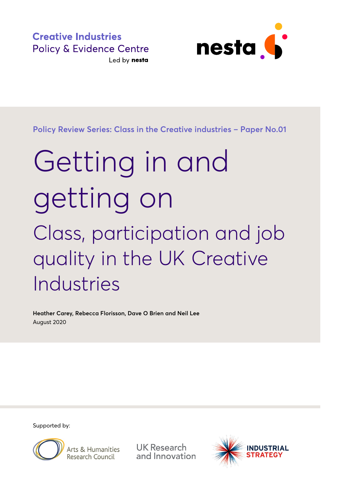**Creative Industries Policy & Evidence Centre** Led by nesta



**Policy Review Series: Class in the Creative industries – Paper No.01**

# Getting in and getting on Class, participation and job quality in the UK Creative Industries

**Heather Carey, Rebecca Florisson, Dave O Brien and Neil Lee**  August 2020

Supported by:



Arts & Humanities Research Council

**UK Research** and Innovation

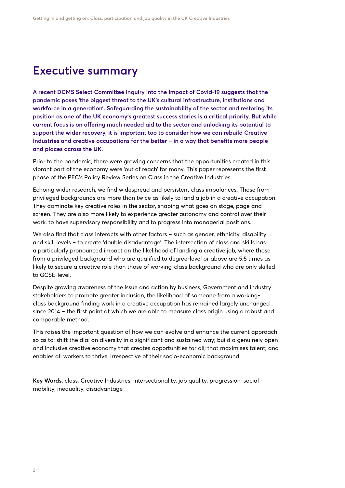## **Executive summary**

**A recent DCMS Select Committee inquiry into the impact of Covid-19 suggests that the pandemic poses 'the biggest threat to the UK's cultural infrastructure, institutions and workforce in a generation'. Safeguarding the sustainability of the sector and restoring its position as one of the UK economy's greatest success stories is a critical priority. But while current focus is on offering much needed aid to the sector and unlocking its potential to support the wider recovery, it is important too to consider how we can rebuild Creative Industries and creative occupations for the better – in a way that benefits more people and places across the UK.**

Prior to the pandemic, there were growing concerns that the opportunities created in this vibrant part of the economy were 'out of reach' for many. This paper represents the first phase of the PEC's Policy Review Series on Class in the Creative Industries.

Echoing wider research, we find widespread and persistent class imbalances. Those from privileged backgrounds are more than twice as likely to land a job in a creative occupation. They dominate key creative roles in the sector, shaping what goes on stage, page and screen. They are also more likely to experience greater autonomy and control over their work, to have supervisory responsibility and to progress into managerial positions.

We also find that class interacts with other factors – such as gender, ethnicity, disability and skill levels – to create 'double disadvantage'. The intersection of class and skills has a particularly pronounced impact on the likelihood of landing a creative job, where those from a privileged background who are qualified to degree-level or above are 5.5 times as likely to secure a creative role than those of working-class background who are only skilled to GCSE-level.

Despite growing awareness of the issue and action by business, Government and industry stakeholders to promote greater inclusion, the likelihood of someone from a workingclass background finding work in a creative occupation has remained largely unchanged since 2014 – the first point at which we are able to measure class origin using a robust and comparable method.

This raises the important question of how we can evolve and enhance the current approach so as to: shift the dial on diversity in a significant and sustained way; build a genuinely open and inclusive creative economy that creates opportunities for all; that maximises talent; and enables all workers to thrive, irrespective of their socio-economic background.

**Key Words**: class, Creative Industries, intersectionality, job quality, progression, social mobility, inequality, disadvantage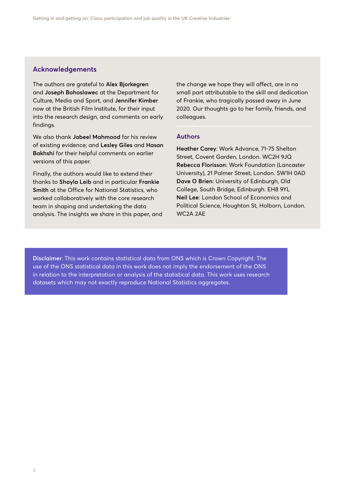#### **Acknowledgements**

The authors are grateful to **Alex Bjorkegren** and **Joseph Bohoslawec** at the Department for Culture, Media and Sport, and **Jennifer Kimber** now at the British Film Institute, for their input into the research design, and comments on early findings.

We also thank **Jabeel Mahmood** for his review of existing evidence; and **Lesley Giles** and **Hasan Bakhshi** for their helpful comments on earlier versions of this paper.

Finally, the authors would like to extend their thanks to **Shayla Leib** and in particular **Frankie Smith** at the Office for National Statistics, who worked collaboratively with the core research team in shaping and undertaking the data analysis. The insights we share in this paper, and

the change we hope they will affect, are in no small part attributable to the skill and dedication of Frankie, who tragically passed away in June 2020. Our thoughts go to her family, friends, and colleagues.

#### **Authors**

**Heather Carey**: Work Advance, 71-75 Shelton Street, Covent Garden, London. WC2H 9JQ **Rebecca Florisson**: Work Foundation (Lancaster University), 21 Palmer Street, London. SW1H 0AD **Dave O Brien**: University of Edinburgh, Old College, South Bridge, Edinburgh. EH8 9YL **Neil Lee**: London School of Economics and Political Science, Houghton St, Holborn, London. WC2A 2AE

**Disclaimer**: This work contains statistical data from ONS which is Crown Copyright. The use of the ONS statistical data in this work does not imply the endorsement of the ONS in relation to the interpretation or analysis of the statistical data. This work uses research datasets which may not exactly reproduce National Statistics aggregates.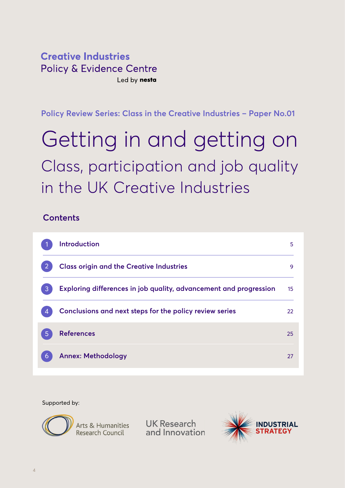### **Creative Industries Policy & Evidence Centre** Led by nesta

**Policy Review Series: Class in the Creative Industries – Paper No.01**

## Getting in and getting on Class, participation and job quality in the UK Creative Industries

### **Contents**

| <b>Introduction</b>                                               | 5  |
|-------------------------------------------------------------------|----|
| <b>Class origin and the Creative Industries</b>                   | 9  |
| Exploring differences in job quality, advancement and progression | 15 |
| Conclusions and next steps for the policy review series           | 22 |
| <b>References</b>                                                 | 25 |
| <b>Annex: Methodology</b>                                         | 27 |

Supported by:



**UK Research** and Innovation

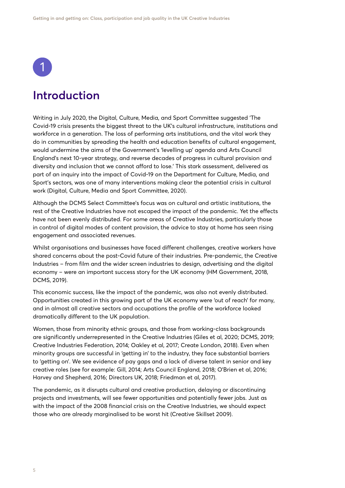<span id="page-4-0"></span>

## **Introduction**

Writing in July 2020, the Digital, Culture, Media, and Sport Committee suggested 'The Covid-19 crisis presents the biggest threat to the UK's cultural infrastructure, institutions and workforce in a generation. The loss of performing arts institutions, and the vital work they do in communities by spreading the health and education benefits of cultural engagement, would undermine the aims of the Government's 'levelling up' agenda and Arts Council England's next 10-year strategy, and reverse decades of progress in cultural provision and diversity and inclusion that we cannot afford to lose.' This stark assessment, delivered as part of an inquiry into the impact of Covid-19 on the Department for Culture, Media, and Sport's sectors, was one of many interventions making clear the potential crisis in cultural work (Digital, Culture, Media and Sport Committee, 2020).

Although the DCMS Select Committee's focus was on cultural and artistic institutions, the rest of the Creative Industries have not escaped the impact of the pandemic. Yet the effects have not been evenly distributed. For some areas of Creative Industries, particularly those in control of digital modes of content provision, the advice to stay at home has seen rising engagement and associated revenues.

Whilst organisations and businesses have faced different challenges, creative workers have shared concerns about the post-Covid future of their industries. Pre-pandemic, the Creative Industries – from film and the wider screen industries to design, advertising and the digital economy – were an important success story for the UK economy (HM Government, 2018, DCMS, 2019).

This economic success, like the impact of the pandemic, was also not evenly distributed. Opportunities created in this growing part of the UK economy were 'out of reach' for many, and in almost all creative sectors and occupations the profile of the workforce looked dramatically different to the UK population.

Women, those from minority ethnic groups, and those from working-class backgrounds are significantly underrepresented in the Creative Industries (Giles et al, 2020; DCMS, 2019; Creative Industries Federation, 2014; Oakley et al, 2017; Create London, 2018). Even when minority groups are successful in 'getting in' to the industry, they face substantial barriers to 'getting on'. We see evidence of pay gaps and a lack of diverse talent in senior and key creative roles (see for example: Gill, 2014; Arts Council England, 2018; O'Brien et al, 2016; Harvey and Shepherd, 2016; Directors UK, 2018; Friedman et al, 2017).

The pandemic, as it disrupts cultural and creative production, delaying or discontinuing projects and investments, will see fewer opportunities and potentially fewer jobs. Just as with the impact of the 2008 financial crisis on the Creative Industries, we should expect those who are already marginalised to be worst hit (Creative Skillset 2009).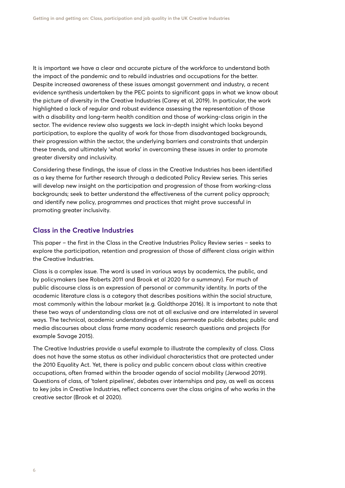It is important we have a clear and accurate picture of the workforce to understand both the impact of the pandemic and to rebuild industries and occupations for the better. Despite increased awareness of these issues amongst government and industry, a recent evidence synthesis undertaken by the PEC points to significant gaps in what we know about the picture of diversity in the Creative Industries (Carey et al, 2019). In particular, the work highlighted a lack of regular and robust evidence assessing the representation of those with a disability and long-term health condition and those of working-class origin in the sector. The evidence review also suggests we lack in-depth insight which looks beyond participation, to explore the quality of work for those from disadvantaged backgrounds, their progression within the sector, the underlying barriers and constraints that underpin these trends, and ultimately 'what works' in overcoming these issues in order to promote greater diversity and inclusivity.

Considering these findings, the issue of class in the Creative Industries has been identified as a key theme for further research through a dedicated Policy Review series. This series will develop new insight on the participation and progression of those from working-class backgrounds; seek to better understand the effectiveness of the current policy approach; and identify new policy, programmes and practices that might prove successful in promoting greater inclusivity.

#### **Class in the Creative Industries**

This paper – the first in the Class in the Creative Industries Policy Review series – seeks to explore the participation, retention and progression of those of different class origin within the Creative Industries.

Class is a complex issue. The word is used in various ways by academics, the public, and by policymakers (see Roberts 2011 and Brook et al 2020 for a summary). For much of public discourse class is an expression of personal or community identity. In parts of the academic literature class is a category that describes positions within the social structure, most commonly within the labour market (e.g. Goldthorpe 2016). It is important to note that these two ways of understanding class are not at all exclusive and are interrelated in several ways. The technical, academic understandings of class permeate public debates; public and media discourses about class frame many academic research questions and projects (for example Savage 2015).

The Creative Industries provide a useful example to illustrate the complexity of class. Class does not have the same status as other individual characteristics that are protected under the 2010 Equality Act. Yet, there is policy and public concern about class within creative occupations, often framed within the broader agenda of social mobility (Jerwood 2019). Questions of class, of 'talent pipelines', debates over internships and pay, as well as access to key jobs in Creative Industries, reflect concerns over the class origins of who works in the creative sector (Brook et al 2020).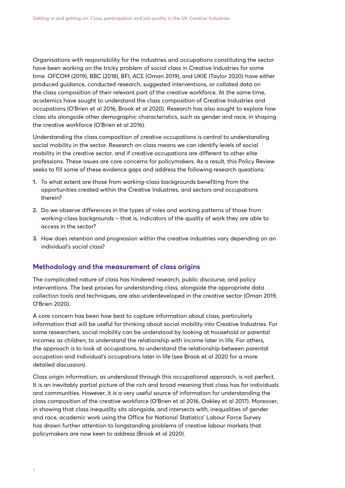Organisations with responsibility for the industries and occupations constituting the sector have been working on the tricky problem of social class in Creative Industries for some time. OFCOM (2019), BBC (2018), BFI, ACE (Oman 2019), and UKIE (Taylor 2020) have either produced guidance, conducted research, suggested interventions, or collated data on the class composition of their relevant part of the creative workforce. At the same time, academics have sought to understand the class composition of Creative Industries and occupations (O'Brien et al 2016, Brook et al 2020). Research has also sought to explore how class sits alongside other demographic characteristics, such as gender and race, in shaping the creative workforce (O'Brien et al 2016).

Understanding the class composition of creative occupations is central to understanding social mobility in the sector. Research on class means we can identify levels of social mobility in the creative sector, and if creative occupations are different to other elite professions. These issues are core concerns for policymakers. As a result, this Policy Review seeks to fill some of these evidence gaps and address the following research questions:

- **1.** To what extent are those from working-class backgrounds benefiting from the opportunities created within the Creative Industries, and sectors and occupations therein?
- **2.** Do we observe differences in the types of roles and working patterns of those from working-class backgrounds – that is, indicators of the quality of work they are able to access in the sector?
- **3.** How does retention and progression within the creative industries vary depending on an individual's social class?

#### **Methodology and the measurement of class origins**

The complicated nature of class has hindered research, public discourse, and policy interventions. The best proxies for understanding class, alongside the appropriate data collection tools and techniques, are also underdeveloped in the creative sector (Oman 2019, O'Brien 2020).

A core concern has been how best to capture information about class, particularly information that will be useful for thinking about social mobility into Creative Industries. For some researchers, social mobility can be understood by looking at household or parental incomes as children, to understand the relationship with income later in life. For others, the approach is to look at occupations, to understand the relationship between parental occupation and individual's occupations later in life (see Brook et al 2020 for a more detailed discussion).

Class origin information, as understood through this occupational approach, is not perfect. It is an inevitably partial picture of the rich and broad meaning that class has for individuals and communities. However, it is a very useful source of information for understanding the class composition of the creative workforce (O'Brien et al 2016, Oakley et al 2017). Moreover, in showing that class inequality sits alongside, and intersects with, inequalities of gender and race, academic work using the Office for National Statistics' Labour Force Survey has drawn further attention to longstanding problems of creative labour markets that policymakers are now keen to address (Brook et al 2020).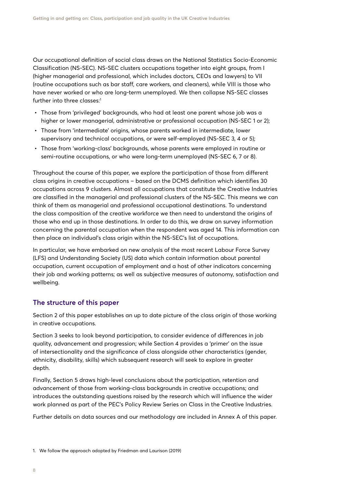Our occupational definition of social class draws on the National Statistics Socio-Economic Classification (NS-SEC). NS-SEC clusters occupations together into eight groups, from I (higher managerial and professional, which includes doctors, CEOs and lawyers) to VII (routine occupations such as bar staff, care workers, and cleaners), while VIII is those who have never worked or who are long-term unemployed. We then collapse NS-SEC classes further into three classes:<sup>1</sup>

- **•** Those from 'privileged' backgrounds, who had at least one parent whose job was a higher or lower managerial, administrative or professional occupation (NS-SEC 1 or 2);
- **•** Those from 'intermediate' origins, whose parents worked in intermediate, lower supervisory and technical occupations, or were self-employed (NS-SEC 3, 4 or 5);
- **•** Those from 'working-class' backgrounds, whose parents were employed in routine or semi-routine occupations, or who were long-term unemployed (NS-SEC 6, 7 or 8).

Throughout the course of this paper, we explore the participation of those from different class origins in creative occupations – based on the DCMS definition which identifies 30 occupations across 9 clusters. Almost all occupations that constitute the Creative Industries are classified in the managerial and professional clusters of the NS-SEC. This means we can think of them as managerial and professional occupational destinations. To understand the class composition of the creative workforce we then need to understand the origins of those who end up in those destinations. In order to do this, we draw on survey information concerning the parental occupation when the respondent was aged 14. This information can then place an individual's class origin within the NS-SEC's list of occupations.

In particular, we have embarked on new analysis of the most recent Labour Force Survey (LFS) and Understanding Society (US) data which contain information about parental occupation, current occupation of employment and a host of other indicators concerning their job and working patterns; as well as subjective measures of autonomy, satisfaction and wellbeing.

#### **The structure of this paper**

Section 2 of this paper establishes an up to date picture of the class origin of those working in creative occupations.

Section 3 seeks to look beyond participation, to consider evidence of differences in job quality, advancement and progression; while Section 4 provides a 'primer' on the issue of intersectionality and the significance of class alongside other characteristics (gender, ethnicity, disability, skills) which subsequent research will seek to explore in greater depth.

Finally, Section 5 draws high-level conclusions about the participation, retention and advancement of those from working-class backgrounds in creative occupations; and introduces the outstanding questions raised by the research which will influence the wider work planned as part of the PEC's Policy Review Series on Class in the Creative Industries.

Further details on data sources and our methodology are included in Annex A of this paper.

<sup>1.</sup> We follow the approach adopted by Friedman and Laurison (2019)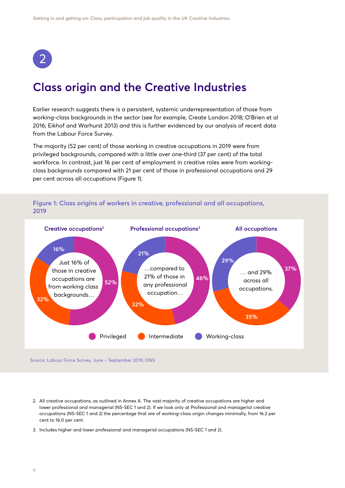<span id="page-8-0"></span>

## **Class origin and the Creative Industries**

Earlier research suggests there is a persistent, systemic underrepresentation of those from working-class backgrounds in the sector (see for example, Create London 2018; O'Brien et al 2016; Eikhof and Warhurst 2013) and this is further evidenced by our analysis of recent data from the Labour Force Survey.

The majority (52 per cent) of those working in creative occupations in 2019 were from privileged backgrounds, compared with a little over one-third (37 per cent) of the total workforce. In contrast, just 16 per cent of employment in creative roles were from workingclass backgrounds compared with 21 per cent of those in professional occupations and 29 per cent across all occupations (Figure 1).



**Figure 1: Class origins of workers in creative, professional and all occupations, 2019**

Source: Labour Force Survey, June – September 2019, ONS

- 2. All creative occupations, as outlined in Annex A. The vast majority of creative occupations are higher and lower professional and managerial (NS-SEC 1 and 2). If we look only at Professional and managerial creative occupations (NS-SEC 1 and 2) the percentage that are of working-class origin changes minimally, from 16.2 per cent to 16.0 per cent.
- 3. Includes higher and lower professional and managerial occupations (NS-SEC 1 and 2).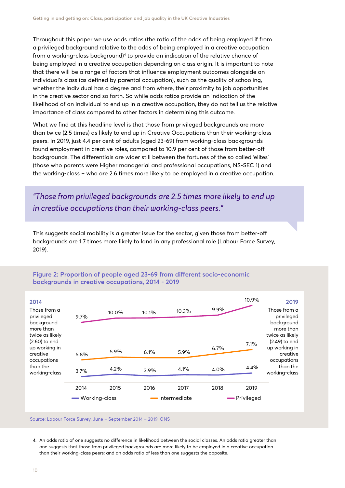Throughout this paper we use odds ratios (the ratio of the odds of being employed if from a privileged background relative to the odds of being employed in a creative occupation from a working-class background)<sup>4</sup> to provide an indication of the relative chance of being employed in a creative occupation depending on class origin. It is important to note that there will be a range of factors that influence employment outcomes alongside an individual's class (as defined by parental occupation), such as the quality of schooling, whether the individual has a degree and from where, their proximity to job opportunities in the creative sector and so forth. So while odds ratios provide an indication of the likelihood of an individual to end up in a creative occupation, they do not tell us the relative importance of class compared to other factors in determining this outcome.

What we find at this headline level is that those from privileged backgrounds are more than twice (2.5 times) as likely to end up in Creative Occupations than their working-class peers. In 2019, just 4.4 per cent of adults (aged 23-69) from working-class backgrounds found employment in creative roles, compared to 10.9 per cent of those from better-off backgrounds. The differentials are wider still between the fortunes of the so called 'elites' (those who parents were Higher managerial and professional occupations, NS-SEC 1) and the working-class – who are 2.6 times more likely to be employed in a creative occupation.

*"Those from privileged backgrounds are 2.5 times more likely to end up in creative occupations than their working-class peers."*

This suggests social mobility is a greater issue for the sector, given those from better-off backgrounds are 1.7 times more likely to land in any professional role (Labour Force Survey, 2019).



#### **Figure 2: Proportion of people aged 23-69 from different socio-economic backgrounds in creative occupations, 2014 - 2019**

Source: Labour Force Survey, June – September 2014 – 2019, ONS

4. An odds ratio of one suggests no difference in likelihood between the social classes. An odds ratio greater than one suggests that those from privileged backgrounds are more likely to be employed in a creative occupation than their working-class peers; and an odds ratio of less than one suggests the opposite.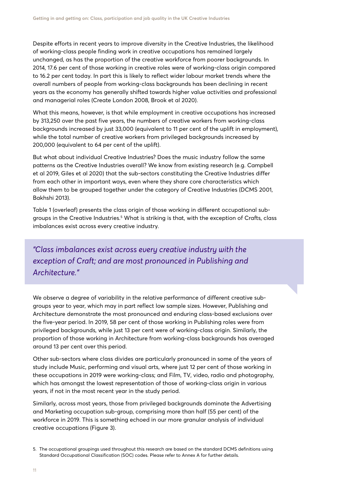Despite efforts in recent years to improve diversity in the Creative Industries, the likelihood of working-class people finding work in creative occupations has remained largely unchanged, as has the proportion of the creative workforce from poorer backgrounds. In 2014, 17.6 per cent of those working in creative roles were of working-class origin compared to 16.2 per cent today. In part this is likely to reflect wider labour market trends where the overall numbers of people from working-class backgrounds has been declining in recent years as the economy has generally shifted towards higher value activities and professional and managerial roles (Create London 2008, Brook et al 2020).

What this means, however, is that while employment in creative occupations has increased by 313,250 over the past five years, the numbers of creative workers from working-class backgrounds increased by just 33,000 (equivalent to 11 per cent of the uplift in employment), while the total number of creative workers from privileged backgrounds increased by 200,000 (equivalent to 64 per cent of the uplift).

But what about individual Creative Industries? Does the music industry follow the same patterns as the Creative Industries overall? We know from existing research (e.g. Campbell et al 2019, Giles et al 2020) that the sub-sectors constituting the Creative Industries differ from each other in important ways, even where they share core characteristics which allow them to be grouped together under the category of Creative Industries (DCMS 2001, Bakhshi 2013).

Table 1 (overleaf) presents the class origin of those working in different occupational subgroups in the Creative Industries.<sup>5</sup> What is striking is that, with the exception of Crafts, class imbalances exist across every creative industry.

*"Class imbalances exist across every creative industry with the exception of Craft; and are most pronounced in Publishing and Architecture."*

We observe a degree of variability in the relative performance of different creative subgroups year to year, which may in part reflect low sample sizes. However, Publishing and Architecture demonstrate the most pronounced and enduring class-based exclusions over the five-year period. In 2019, 58 per cent of those working in Publishing roles were from privileged backgrounds, while just 13 per cent were of working-class origin. Similarly, the proportion of those working in Architecture from working-class backgrounds has averaged around 13 per cent over this period.

Other sub-sectors where class divides are particularly pronounced in some of the years of study include Music, performing and visual arts, where just 12 per cent of those working in these occupations in 2019 were working-class; and Film, TV, video, radio and photography, which has amongst the lowest representation of those of working-class origin in various years, if not in the most recent year in the study period.

Similarly, across most years, those from privileged backgrounds dominate the Advertising and Marketing occupation sub-group, comprising more than half (55 per cent) of the workforce in 2019. This is something echoed in our more granular analysis of individual creative occupations (Figure 3).

<sup>5.</sup> The occupational groupings used throughout this research are based on the standard DCMS definitions using Standard Occupational Classification (SOC) codes. Please refer to Annex A for further details.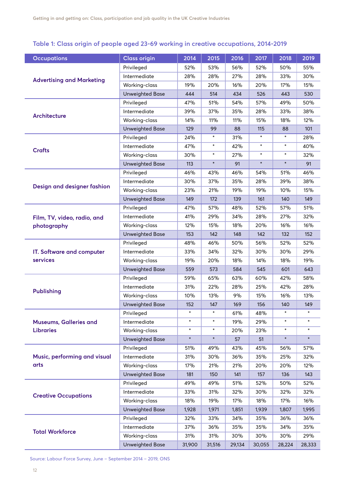#### **Table 1: Class origin of people aged 23-69 working in creative occupations, 2014-2019**

| <b>Occupations</b>               | <b>Class origin</b>    | 2014   | 2015   | 2016   | 2017   | 2018   | 2019   |
|----------------------------------|------------------------|--------|--------|--------|--------|--------|--------|
|                                  | Privileged             | 52%    | 53%    | 56%    | 52%    | 50%    | 55%    |
|                                  | Intermediate           | 28%    | 28%    | 27%    | 28%    | 33%    | 30%    |
| <b>Advertising and Marketing</b> | Working-class          | 19%    | 20%    | 16%    | 20%    | 17%    | 15%    |
|                                  | <b>Unweighted Base</b> | 444    | 514    | 434    | 526    | 443    | 530    |
|                                  | Privileged             | 47%    | 51%    | 54%    | 57%    | 49%    | 50%    |
|                                  | Intermediate           | 39%    | 37%    | 35%    | 28%    | 33%    | 38%    |
| Architecture                     | Working-class          | 14%    | 11%    | 11%    | 15%    | 18%    | 12%    |
|                                  | <b>Unweighted Base</b> | 129    | 99     | 88     | 115    | 88     | 101    |
|                                  | Privileged             | 24%    | $\ast$ | 31%    | $\ast$ | $\ast$ | 28%    |
| <b>Crafts</b>                    | Intermediate           | 47%    | $\ast$ | 42%    | $\ast$ | $\ast$ | 40%    |
|                                  | Working-class          | 30%    | $\ast$ | 27%    | $\ast$ | $\ast$ | 32%    |
|                                  | <b>Unweighted Base</b> | 113    | $\ast$ | 91     | $\ast$ | $\ast$ | 91     |
|                                  | Privileged             | 46%    | 43%    | 46%    | 54%    | 51%    | 46%    |
|                                  | Intermediate           | 30%    | 37%    | 35%    | 28%    | 39%    | 38%    |
| Design and designer fashion      | Working-class          | 23%    | 21%    | 19%    | 19%    | 10%    | 15%    |
|                                  | <b>Unweighted Base</b> | 149    | 172    | 139    | 161    | 140    | 149    |
|                                  | Privileged             | 47%    | 57%    | 48%    | 52%    | 57%    | 51%    |
| Film, TV, video, radio, and      | Intermediate           | 41%    | 29%    | 34%    | 28%    | 27%    | 32%    |
| photography                      | Working-class          | 12%    | 15%    | 18%    | 20%    | 16%    | 16%    |
|                                  | <b>Unweighted Base</b> | 153    | 142    | 148    | 142    | 132    | 152    |
|                                  | Privileged             | 48%    | 46%    | 50%    | 56%    | 52%    | 52%    |
| IT. Software and computer        | Intermediate           | 33%    | 34%    | 32%    | 30%    | 30%    | 29%    |
| services                         | Working-class          | 19%    | 20%    | 18%    | 14%    | 18%    | 19%    |
|                                  | <b>Unweighted Base</b> | 559    | 573    | 584    | 545    | 601    | 643    |
|                                  | Privileged             | 59%    | 65%    | 63%    | 60%    | 42%    | 58%    |
| <b>Publishing</b>                | Intermediate           | 31%    | 22%    | 28%    | 25%    | 42%    | 28%    |
|                                  | Working-class          | 10%    | 13%    | 9%     | 15%    | 16%    | 13%    |
|                                  | <b>Unweighted Base</b> | 152    | 147    | 169    | 156    | 140    | 149    |
|                                  | Privileged             |        |        | 61%    | 48%    |        |        |
| <b>Museums, Galleries and</b>    | Intermediate           | $\ast$ | $\ast$ | 19%    | 29%    | $\ast$ | $\ast$ |
| <b>Libraries</b>                 | Working-class          | $\ast$ | $\ast$ | 20%    | 23%    |        |        |
|                                  | <b>Unweighted Base</b> | $\ast$ | $\ast$ | 57     | 51     | $\ast$ | $\ast$ |
|                                  | Privileged             | 51%    | 49%    | 43%    | 45%    | 56%    | 57%    |
| Music, performing and visual     | Intermediate           | 31%    | 30%    | 36%    | 35%    | 25%    | 32%    |
| arts                             | Working-class          | 17%    | 21%    | 21%    | 20%    | 20%    | 12%    |
|                                  | <b>Unweighted Base</b> | 181    | 150    | 141    | 157    | 136    | 143    |
|                                  | Privileged             | 49%    | 49%    | 51%    | 52%    | 50%    | 52%    |
| <b>Creative Occupations</b>      | Intermediate           | 33%    | 31%    | 32%    | 30%    | 32%    | 32%    |
|                                  | Working-class          | 18%    | 19%    | 17%    | 18%    | 17%    | 16%    |
|                                  | <b>Unweighted Base</b> | 1,928  | 1,971  | 1,851  | 1,939  | 1,807  | 1,995  |
|                                  | Privileged             | 32%    | 33%    | 34%    | 35%    | 36%    | 36%    |
| <b>Total Workforce</b>           | Intermediate           | 37%    | 36%    | 35%    | 35%    | 34%    | 35%    |
|                                  | Working-class          | 31%    | 31%    | 30%    | 30%    | 30%    | 29%    |
|                                  | <b>Unweighted Base</b> | 31,900 | 31,516 | 29,134 | 30,055 | 28,224 | 28,333 |

Source: Labour Force Survey, June – September 2014 – 2019, ONS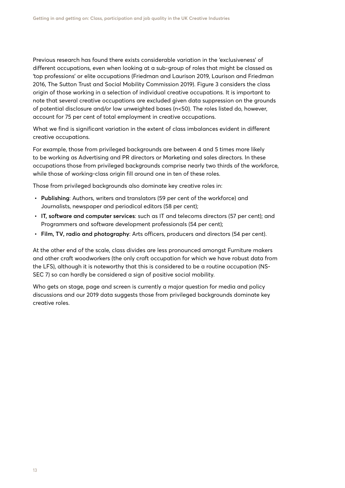Previous research has found there exists considerable variation in the 'exclusiveness' of different occupations, even when looking at a sub-group of roles that might be classed as 'top professions' or elite occupations (Friedman and Laurison 2019, Laurison and Friedman 2016, The Sutton Trust and Social Mobility Commission 2019). Figure 3 considers the class origin of those working in a selection of individual creative occupations. It is important to note that several creative occupations are excluded given data suppression on the grounds of potential disclosure and/or low unweighted bases (n<50). The roles listed do, however, account for 75 per cent of total employment in creative occupations.

What we find is significant variation in the extent of class imbalances evident in different creative occupations.

For example, those from privileged backgrounds are between 4 and 5 times more likely to be working as Advertising and PR directors or Marketing and sales directors. In these occupations those from privileged backgrounds comprise nearly two thirds of the workforce, while those of working-class origin fill around one in ten of these roles.

Those from privileged backgrounds also dominate key creative roles in:

- **• Publishing**: Authors, writers and translators (59 per cent of the workforce) and Journalists, newspaper and periodical editors (58 per cent);
- **• IT, software and computer services**: such as IT and telecoms directors (57 per cent); and Programmers and software development professionals (54 per cent);
- **• Film, TV, radio and photography**: Arts officers, producers and directors (54 per cent).

At the other end of the scale, class divides are less pronounced amongst Furniture makers and other craft woodworkers (the only craft occupation for which we have robust data from the LFS), although it is noteworthy that this is considered to be a routine occupation (NS-SEC 7) so can hardly be considered a sign of positive social mobility.

Who gets on stage, page and screen is currently a major question for media and policy discussions and our 2019 data suggests those from privileged backgrounds dominate key creative roles.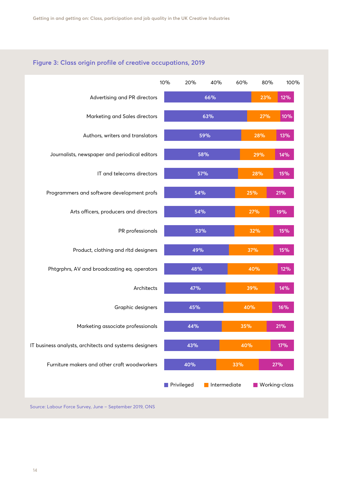#### **Figure 3: Class origin profile of creative occupations, 2019**



Source: Labour Force Survey, June – September 2019, ONS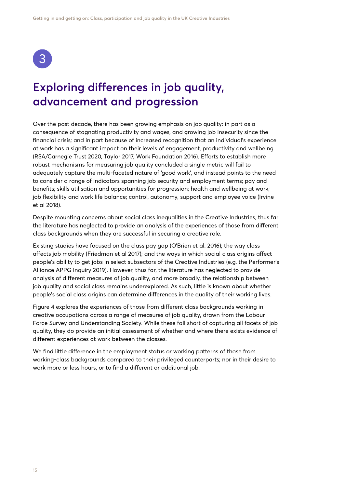<span id="page-14-0"></span>

## **Exploring differences in job quality, advancement and progression**

Over the past decade, there has been growing emphasis on job quality: in part as a consequence of stagnating productivity and wages, and growing job insecurity since the financial crisis; and in part because of increased recognition that an individual's experience at work has a significant impact on their levels of engagement, productivity and wellbeing (RSA/Carnegie Trust 2020, Taylor 2017, Work Foundation 2016). Efforts to establish more robust mechanisms for measuring job quality concluded a single metric will fail to adequately capture the multi-faceted nature of 'good work', and instead points to the need to consider a range of indicators spanning job security and employment terms; pay and benefits; skills utilisation and opportunities for progression; health and wellbeing at work; job flexibility and work life balance; control, autonomy, support and employee voice (Irvine et al 2018).

Despite mounting concerns about social class inequalities in the Creative Industries, thus far the literature has neglected to provide an analysis of the experiences of those from different class backgrounds when they are successful in securing a creative role.

Existing studies have focused on the class pay gap (O'Brien et al. 2016); the way class affects job mobility (Friedman et al 2017); and the ways in which social class origins affect people's ability to get jobs in select subsectors of the Creative Industries (e.g. the Performer's Alliance APPG Inquiry 2019). However, thus far, the literature has neglected to provide analysis of different measures of job quality, and more broadly, the relationship between job quality and social class remains underexplored. As such, little is known about whether people's social class origins can determine differences in the quality of their working lives.

Figure 4 explores the experiences of those from different class backgrounds working in creative occupations across a range of measures of job quality, drawn from the Labour Force Survey and Understanding Society. While these fall short of capturing all facets of job quality, they do provide an initial assessment of whether and where there exists evidence of different experiences at work between the classes.

We find little difference in the employment status or working patterns of those from working-class backgrounds compared to their privileged counterparts; nor in their desire to work more or less hours, or to find a different or additional job.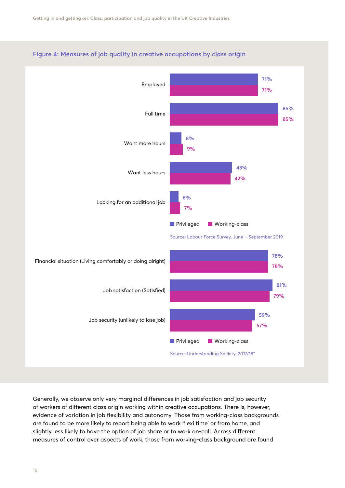

#### **Figure 4: Measures of job quality in creative occupations by class origin**

Generally, we observe only very marginal differences in job satisfaction and job security of workers of different class origin working within creative occupations. There is, however, evidence of variation in job flexibility and autonomy. Those from working-class backgrounds are found to be more likely to report being able to work 'flexi time' or from home, and slightly less likely to have the option of job share or to work on-call. Across different measures of control over aspects of work, those from working-class background are found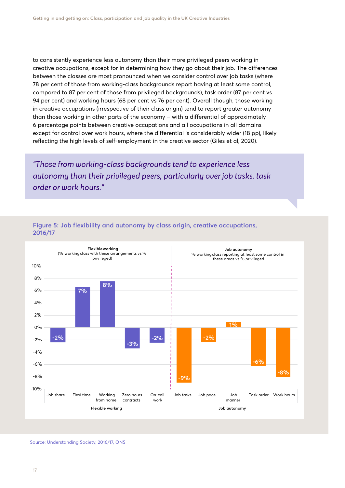to consistently experience less autonomy than their more privileged peers working in creative occupations, except for in determining how they go about their job. The differences between the classes are most pronounced when we consider control over job tasks (where 78 per cent of those from working-class backgrounds report having at least some control, compared to 87 per cent of those from privileged backgrounds), task order (87 per cent vs 94 per cent) and working hours (68 per cent vs 76 per cent). Overall though, those working in creative occupations (irrespective of their class origin) tend to report greater autonomy than those working in other parts of the economy – with a differential of approximately 6 percentage points between creative occupations and all occupations in all domains except for control over work hours, where the differential is considerably wider (18 pp), likely reflecting the high levels of self-employment in the creative sector (Giles et al, 2020).

*"Those from working-class backgrounds tend to experience less autonomy than their privileged peers, particularly over job tasks, task order or work hours."*



#### **Figure 5: Job flexibility and autonomy by class origin, creative occupations, 2016/17**

Source: Understanding Society, 2016/17, ONS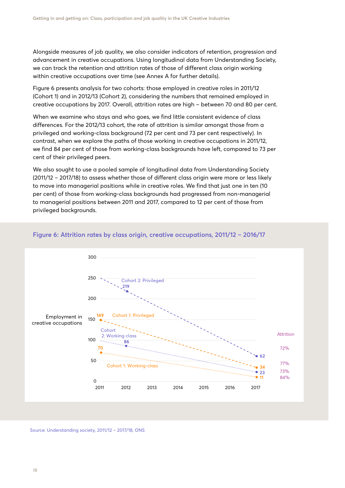Alongside measures of job quality, we also consider indicators of retention, progression and advancement in creative occupations. Using longitudinal data from Understanding Society, we can track the retention and attrition rates of those of different class origin working within creative occupations over time (see Annex A for further details).

Figure 6 presents analysis for two cohorts: those employed in creative roles in 2011/12 (Cohort 1) and in 2012/13 (Cohort 2), considering the numbers that remained employed in creative occupations by 2017. Overall, attrition rates are high – between 70 and 80 per cent.

When we examine who stays and who goes, we find little consistent evidence of class differences. For the 2012/13 cohort, the rate of attrition is similar amongst those from a privileged and working-class background (72 per cent and 73 per cent respectively). In contrast, when we explore the paths of those working in creative occupations in 2011/12, we find 84 per cent of those from working-class backgrounds have left, compared to 73 per cent of their privileged peers.

We also sought to use a pooled sample of longitudinal data from Understanding Society (2011/12 – 2017/18) to assess whether those of different class origin were more or less likely to move into managerial positions while in creative roles. We find that just one in ten (10 per cent) of those from working-class backgrounds had progressed from non-managerial to managerial positions between 2011 and 2017, compared to 12 per cent of those from privileged backgrounds.



#### **Figure 6: Attrition rates by class origin, creative occupations, 2011/12 – 2016/17**

Source: Understanding society, 2011/12 – 2017/18, ONS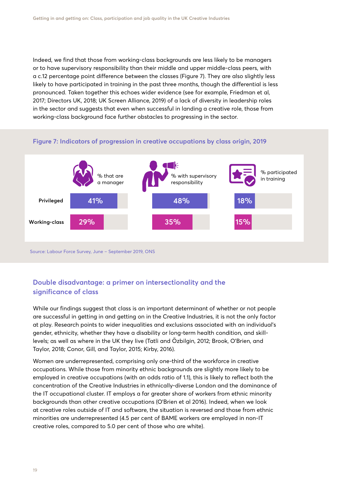Indeed, we find that those from working-class backgrounds are less likely to be managers or to have supervisory responsibility than their middle and upper middle-class peers, with a c.12 percentage point difference between the classes (Figure 7). They are also slightly less likely to have participated in training in the past three months, though the differential is less pronounced. Taken together this echoes wider evidence (see for example, Friedman et al, 2017; Directors UK, 2018; UK Screen Alliance, 2019) of a lack of diversity in leadership roles in the sector and suggests that even when successful in landing a creative role, those from working-class background face further obstacles to progressing in the sector.



#### **Figure 7: Indicators of progression in creative occupations by class origin, 2019**

**Double disadvantage: a primer on intersectionality and the significance of class**

While our findings suggest that class is an important determinant of whether or not people are successful in getting in and getting on in the Creative Industries, it is not the only factor at play. Research points to wider inequalities and exclusions associated with an individual's gender, ethnicity, whether they have a disability or long-term health condition, and skilllevels; as well as where in the UK they live (Tatli and Özbilgin, 2012; Brook, O'Brien, and Taylor, 2018; Conor, Gill, and Taylor, 2015; Kirby, 2016).

Women are underrepresented, comprising only one-third of the workforce in creative occupations. While those from minority ethnic backgrounds are slightly more likely to be employed in creative occupations (with an odds ratio of 1.1), this is likely to reflect both the concentration of the Creative Industries in ethnically-diverse London and the dominance of the IT occupational cluster. IT employs a far greater share of workers from ethnic minority backgrounds than other creative occupations (O'Brien et al 2016). Indeed, when we look at creative roles outside of IT and software, the situation is reversed and those from ethnic minorities are underrepresented (4.5 per cent of BAME workers are employed in non-IT creative roles, compared to 5.0 per cent of those who are white).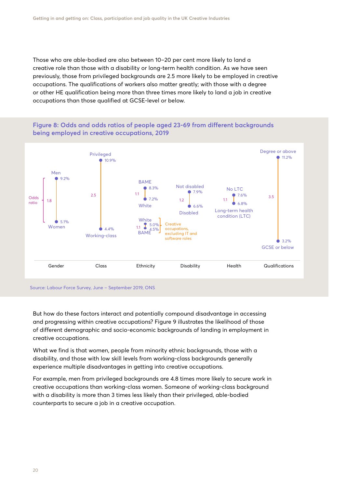Those who are able-bodied are also between 10–20 per cent more likely to land a creative role than those with a disability or long-term health condition. As we have seen previously, those from privileged backgrounds are 2.5 more likely to be employed in creative occupations. The qualifications of workers also matter greatly; with those with a degree or other HE qualification being more than three times more likely to land a job in creative occupations than those qualified at GCSE-level or below.





Source: Labour Force Survey, June – September 2019, ONS

But how do these factors interact and potentially compound disadvantage in accessing and progressing within creative occupations? Figure 9 illustrates the likelihood of those of different demographic and socio-economic backgrounds of landing in employment in creative occupations.

What we find is that women, people from minority ethnic backgrounds, those with a disability, and those with low skill levels from working-class backgrounds generally experience multiple disadvantages in getting into creative occupations.

For example, men from privileged backgrounds are 4.8 times more likely to secure work in creative occupations than working-class women. Someone of working-class background with a disability is more than 3 times less likely than their privileged, able-bodied counterparts to secure a job in a creative occupation.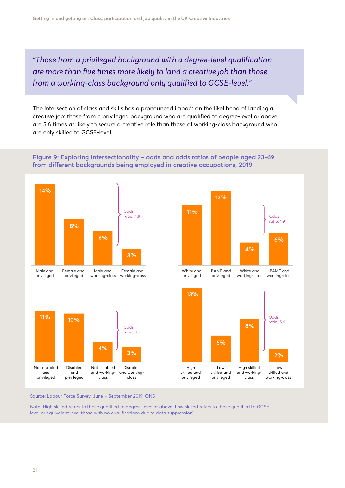*"Those from a privileged background with a degree-level qualification are more than five times more likely to land a creative job than those from a working-class background only qualified to GCSE-level."* 

The intersection of class and skills has a pronounced impact on the likelihood of landing a creative job: those from a privileged background who are qualified to degree-level or above are 5.6 times as likely to secure a creative role than those of working-class background who are only skilled to GCSE-level.









working-class working-class



Source: Labour Force Survey, June – September 2019, ONS

Note: High skilled refers to those qualified to degree-level or above. Low skilled refers to those qualified to GCSE level or equivalent (exc. those with no qualifications due to data suppression).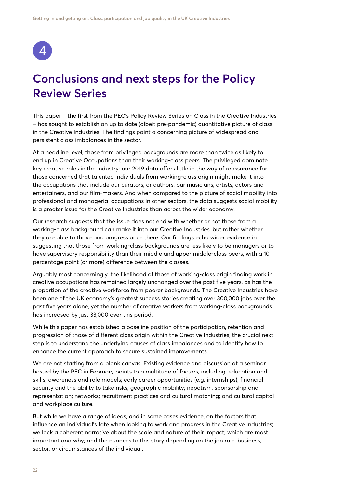<span id="page-21-0"></span>

## **Conclusions and next steps for the Policy Review Series**

This paper – the first from the PEC's Policy Review Series on Class in the Creative Industries – has sought to establish an up to date (albeit pre-pandemic) quantitative picture of class in the Creative Industries. The findings paint a concerning picture of widespread and persistent class imbalances in the sector.

At a headline level, those from privileged backgrounds are more than twice as likely to end up in Creative Occupations than their working-class peers. The privileged dominate key creative roles in the industry: our 2019 data offers little in the way of reassurance for those concerned that talented individuals from working-class origin might make it into the occupations that include our curators, or authors, our musicians, artists, actors and entertainers, and our film-makers. And when compared to the picture of social mobility into professional and managerial occupations in other sectors, the data suggests social mobility is a greater issue for the Creative Industries than across the wider economy.

Our research suggests that the issue does not end with whether or not those from a working-class background can make it into our Creative Industries, but rather whether they are able to thrive and progress once there. Our findings echo wider evidence in suggesting that those from working-class backgrounds are less likely to be managers or to have supervisory responsibility than their middle and upper middle-class peers, with a 10 percentage point (or more) difference between the classes.

Arguably most concerningly, the likelihood of those of working-class origin finding work in creative occupations has remained largely unchanged over the past five years, as has the proportion of the creative workforce from poorer backgrounds. The Creative Industries have been one of the UK economy's greatest success stories creating over 300,000 jobs over the past five years alone, yet the number of creative workers from working-class backgrounds has increased by just 33,000 over this period.

While this paper has established a baseline position of the participation, retention and progression of those of different class origin within the Creative Industries, the crucial next step is to understand the underlying causes of class imbalances and to identify how to enhance the current approach to secure sustained improvements.

We are not starting from a blank canvas. Existing evidence and discussion at a seminar hosted by the PEC in February points to a multitude of factors, including: education and skills; awareness and role models; early career opportunities (e.g. internships); financial security and the ability to take risks; geographic mobility; nepotism, sponsorship and representation; networks; recruitment practices and cultural matching; and cultural capital and workplace culture.

But while we have a range of ideas, and in some cases evidence, on the factors that influence an individual's fate when looking to work and progress in the Creative Industries; we lack a coherent narrative about the scale and nature of their impact; which are most important and why; and the nuances to this story depending on the job role, business, sector, or circumstances of the individual.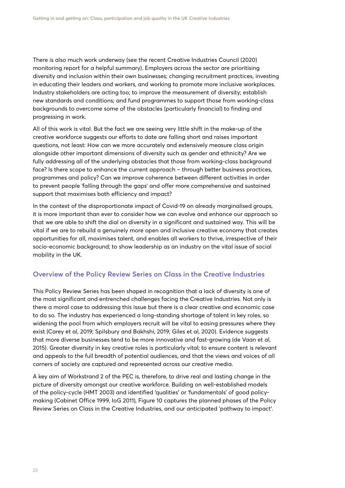There is also much work underway (see the recent Creative Industries Council (2020) monitoring report for a helpful summary). Employers across the sector are prioritising diversity and inclusion within their own businesses; changing recruitment practices, investing in educating their leaders and workers, and working to promote more inclusive workplaces. Industry stakeholders are acting too; to improve the measurement of diversity; establish new standards and conditions; and fund programmes to support those from working-class backgrounds to overcome some of the obstacles (particularly financial) to finding and progressing in work.

All of this work is vital. But the fact we are seeing very little shift in the make-up of the creative workforce suggests our efforts to date are falling short and raises important questions, not least: How can we more accurately and extensively measure class origin alongside other important dimensions of diversity such as gender and ethnicity? Are we fully addressing all of the underlying obstacles that those from working-class background face? Is there scope to enhance the current approach – through better business practices, programmes and policy? Can we improve coherence between different activities in order to prevent people 'falling through the gaps' and offer more comprehensive and sustained support that maximises both efficiency and impact?

In the context of the disproportionate impact of Covid-19 on already marginalised groups, it is more important than ever to consider how we can evolve and enhance our approach so that we are able to shift the dial on diversity in a significant and sustained way. This will be vital if we are to rebuild a genuinely more open and inclusive creative economy that creates opportunities for all, maximises talent, and enables all workers to thrive, irrespective of their socio-economic background; to show leadership as an industry on the vital issue of social mobility in the UK.

#### **Overview of the Policy Review Series on Class in the Creative Industries**

This Policy Review Series has been shaped in recognition that a lack of diversity is one of the most significant and entrenched challenges facing the Creative Industries. Not only is there a moral case to addressing this issue but there is a clear creative and economic case to do so. The industry has experienced a long-standing shortage of talent in key roles, so widening the pool from which employers recruit will be vital to easing pressures where they exist (Carey et al, 2019; Spilsbury and Bakhshi, 2019; Giles et al, 2020). Evidence suggests that more diverse businesses tend to be more innovative and fast-growing (de Vaan et al, 2015). Greater diversity in key creative roles is particularly vital; to ensure content is relevant and appeals to the full breadth of potential audiences, and that the views and voices of all corners of society are captured and represented across our creative media.

A key aim of Workstrand 2 of the PEC is, therefore, to drive real and lasting change in the picture of diversity amongst our creative workforce. Building on well-established models of the policy-cycle (HMT 2003) and identified 'qualities' or 'fundamentals' of good policymaking (Cabinet Office 1999, IoG 2011), Figure 10 captures the planned phases of the Policy Review Series on Class in the Creative Industries, and our anticipated 'pathway to impact'.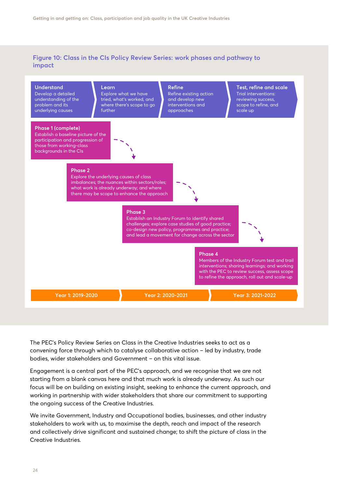#### **Figure 10: Class in the CIs Policy Review Series: work phases and pathway to impact**



The PEC's Policy Review Series on Class in the Creative Industries seeks to act as a convening force through which to catalyse collaborative action – led by industry, trade bodies, wider stakeholders and Government – on this vital issue.

Engagement is a central part of the PEC's approach, and we recognise that we are not starting from a blank canvas here and that much work is already underway. As such our focus will be on building on existing insight, seeking to enhance the current approach, and working in partnership with wider stakeholders that share our commitment to supporting the ongoing success of the Creative Industries.

We invite Government, Industry and Occupational bodies, businesses, and other industry stakeholders to work with us, to maximise the depth, reach and impact of the research and collectively drive significant and sustained change; to shift the picture of class in the Creative Industries.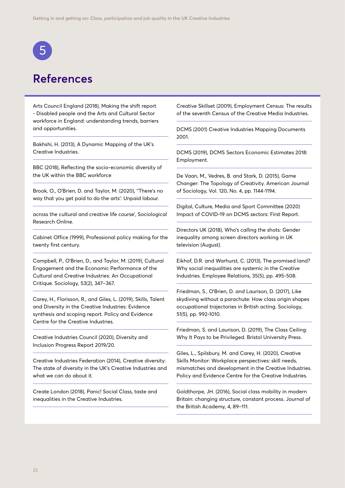<span id="page-24-0"></span>

## **References**

Arts Council England (2018), Making the shift report - Disabled people and the Arts and Cultural Sector workforce in England: understanding trends, barriers and opportunities.

Bakhshi, H. (2013), A Dynamic Mapping of the UK's Creative Industries.

BBC (2018), Reflecting the socio-economic diversity of the UK within the BBC workforce

Brook, O., O'Brien, D. and Taylor, M. (2020), ''There's no way that you get paid to do the arts': Unpaid labour.

across the cultural and creative life course', Sociological Research Online.

Cabinet Office (1999), Professional policy making for the twenty first century.

Campbell, P., O'Brien, D., and Taylor, M. (2019), Cultural Engagement and the Economic Performance of the Cultural and Creative Industries: An Occupational Critique. Sociology, 53(2), 347–367.

Carey, H., Florisson, R., and Giles, L. (2019), Skills, Talent and Diversity in the Creative Industries: Evidence synthesis and scoping report. Policy and Evidence Centre for the Creative Industries.

Creative Industries Council (2020), Diversity and Inclusion Progress Report 2019/20.

Creative Industries Federation (2014), Creative diversity: The state of diversity in the UK's Creative Industries and what we can do about it.

Create London (2018), Panic! Social Class, taste and inequalities in the Creative Industries.

Creative Skillset (2009), Employment Census: The results of the seventh Census of the Creative Media Industries.

DCMS (2001) Creative Industries Mapping Documents 2001.

DCMS (2019), DCMS Sectors Economic Estimates 2018: Employment.

De Vaan, M., Vedres, B. and Stark, D. (2015), Game Changer: The Topology of Creativity. American Journal of Sociology, Vol. 120, No. 4, pp. 1144-1194.

Digital, Culture, Media and Sport Committee (2020) Impact of COVID-19 on DCMS sectors: First Report.

Directors UK (2018), Who's calling the shots: Gender inequality among screen directors working in UK television (August).

Eikhof, D.R. and Warhurst, C. (2013), The promised land? Why social inequalities are systemic in the Creative Industries. Employee Relations, 35(5), pp. 495-508.

Friedman, S., O'Brien, D. and Laurison, D. (2017), Like skydiving without a parachute: How class origin shapes occupational trajectories in British acting. Sociology, 51(5), pp. 992-1010.

Friedman, S. and Laurison, D. (2019), The Class Ceiling: Why It Pays to be Privileged. Bristol University Press.

Giles, L., Spilsbury, M. and Carey, H. (2020), Creative Skills Monitor: Workplace perspectives: skill needs, mismatches and development in the Creative Industries. Policy and Evidence Centre for the Creative Industries.

Goldthorpe, JH. (2016), Social class mobility in modern Britain: changing structure, constant process. Journal of the British Academy, 4, 89–111.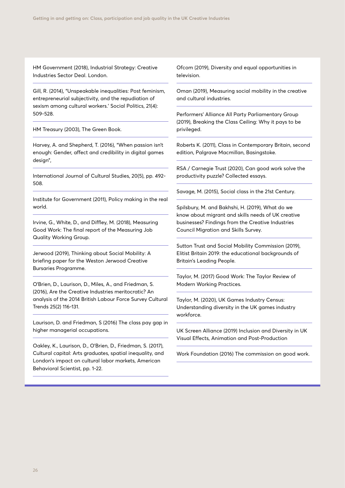HM Government (2018), Industrial Strategy: Creative Industries Sector Deal. London.

Gill, R. (2014), "Unspeakable inequalities: Post feminism, entrepreneurial subjectivity, and the repudiation of sexism among cultural workers.' Social Politics, 21(4): 509-528.

HM Treasury (2003), The Green Book.

Harvey, A. and Shepherd, T. (2016), "When passion isn't enough: Gender, affect and credibility in digital games design",

International Journal of Cultural Studies, 20(5), pp. 492- 508.

Institute for Government (2011), Policy making in the real world.

Irvine, G., White, D., and Diffley, M. (2018), Measuring Good Work: The final report of the Measuring Job Quality Working Group.

Jerwood (2019), Thinking about Social Mobility: A briefing paper for the Weston Jerwood Creative Bursaries Programme.

O'Brien, D., Laurison, D., Miles, A., and Friedman, S. (2016), Are the Creative Industries meritocratic? An analysis of the 2014 British Labour Force Survey Cultural Trends 25(2) 116-131.

Laurison, D. and Friedman, S (2016) The class pay gap in higher managerial occupations.

Oakley, K., Laurison, D., O'Brien, D., Friedman, S. (2017), Cultural capital: Arts graduates, spatial inequality, and London's impact on cultural labor markets, American Behavioral Scientist, pp. 1-22.

Ofcom (2019), Diversity and equal opportunities in television.

Oman (2019), Measuring social mobility in the creative and cultural industries.

Performers' Alliance All Party Parliamentary Group (2019), Breaking the Class Ceiling: Why it pays to be privileged.

Roberts K. (2011), Class in Contemporary Britain, second edition, Palgrave Macmillan, Basingstoke.

RSA / Carnegie Trust (2020), Can good work solve the productivity puzzle? Collected essays.

Savage, M. (2015), Social class in the 21st Century.

Spilsbury, M. and Bakhshi, H. (2019), What do we know about migrant and skills needs of UK creative businesses? Findings from the Creative Industries Council Migration and Skills Survey.

Sutton Trust and Social Mobility Commission (2019), Elitist Britain 2019: the educational backgrounds of Britain's Leading People.

Taylor, M. (2017) Good Work: The Taylor Review of Modern Working Practices.

Taylor, M. (2020), UK Games Industry Census: Understanding diversity in the UK games industry workforce.

UK Screen Alliance (2019) Inclusion and Diversity in UK Visual Effects, Animation and Post-Production

Work Foundation (2016) The commission on good work.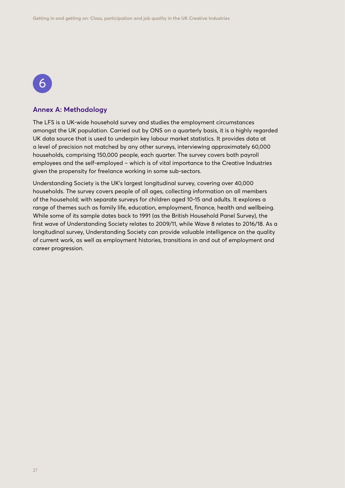## 6

#### **Annex A: Methodology**

The LFS is a UK-wide household survey and studies the employment circumstances amongst the UK population. Carried out by ONS on a quarterly basis, it is a highly regarded UK data source that is used to underpin key labour market statistics. It provides data at a level of precision not matched by any other surveys, interviewing approximately 60,000 households, comprising 150,000 people, each quarter. The survey covers both payroll employees and the self-employed – which is of vital importance to the Creative Industries given the propensity for freelance working in some sub-sectors.

Understanding Society is the UK's largest longitudinal survey, covering over 40,000 households. The survey covers people of all ages, collecting information on all members of the household; with separate surveys for children aged 10-15 and adults. It explores a range of themes such as family life, education, employment, finance, health and wellbeing. While some of its sample dates back to 1991 (as the British Household Panel Survey), the first wave of Understanding Society relates to 2009/11, while Wave 8 relates to 2016/18. As a longitudinal survey, Understanding Society can provide valuable intelligence on the quality of current work, as well as employment histories, transitions in and out of employment and career progression.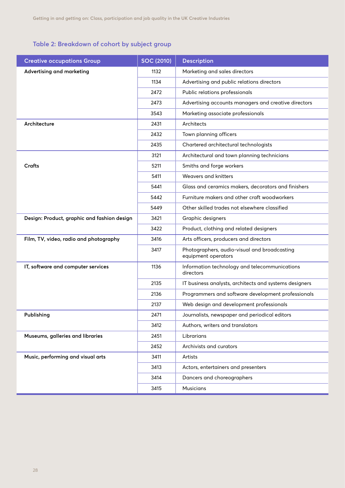#### <span id="page-27-0"></span>**Table 2: Breakdown of cohort by subject group**

| <b>Creative occupations Group</b>           | <b>SOC (2010)</b> | <b>Description</b>                                                  |  |  |  |
|---------------------------------------------|-------------------|---------------------------------------------------------------------|--|--|--|
| Advertising and marketing                   | 1132              | Marketing and sales directors                                       |  |  |  |
|                                             | 1134              | Advertising and public relations directors                          |  |  |  |
|                                             | 2472              | Public relations professionals                                      |  |  |  |
|                                             | 2473              | Advertising accounts managers and creative directors                |  |  |  |
|                                             | 3543              | Marketing associate professionals                                   |  |  |  |
| Architecture                                | 2431              | Architects                                                          |  |  |  |
|                                             | 2432              | Town planning officers                                              |  |  |  |
|                                             | 2435              | Chartered architectural technologists                               |  |  |  |
|                                             | 3121              | Architectural and town planning technicians                         |  |  |  |
| <b>Crafts</b>                               | 5211              | Smiths and forge workers                                            |  |  |  |
|                                             | 5411              | Weavers and knitters                                                |  |  |  |
|                                             | 5441              | Glass and ceramics makers, decorators and finishers                 |  |  |  |
|                                             | 5442              | Furniture makers and other craft woodworkers                        |  |  |  |
|                                             | 5449              | Other skilled trades not elsewhere classified                       |  |  |  |
| Design: Product, graphic and fashion design | 3421              | Graphic designers                                                   |  |  |  |
|                                             | 3422              | Product, clothing and related designers                             |  |  |  |
| Film, TV, video, radio and photography      | 3416              | Arts officers, producers and directors                              |  |  |  |
|                                             | 3417              | Photographers, audio-visual and broadcasting<br>equipment operators |  |  |  |
| IT, software and computer services          | 1136              | Information technology and telecommunications<br>directors          |  |  |  |
|                                             | 2135              | IT business analysts, architects and systems designers              |  |  |  |
|                                             | 2136              | Programmers and software development professionals                  |  |  |  |
|                                             | 2137              | Web design and development professionals                            |  |  |  |
| Publishing                                  | 2471              | Journalists, newspaper and periodical editors                       |  |  |  |
|                                             | 3412              | Authors, writers and translators                                    |  |  |  |
| Museums, galleries and libraries            | 2451              | Librarians                                                          |  |  |  |
|                                             | 2452              | Archivists and curators                                             |  |  |  |
| Music, performing and visual arts           | 3411              | Artists                                                             |  |  |  |
|                                             | 3413              | Actors, entertainers and presenters                                 |  |  |  |
|                                             | 3414              | Dancers and choreographers                                          |  |  |  |
|                                             | 3415              | <b>Musicians</b>                                                    |  |  |  |